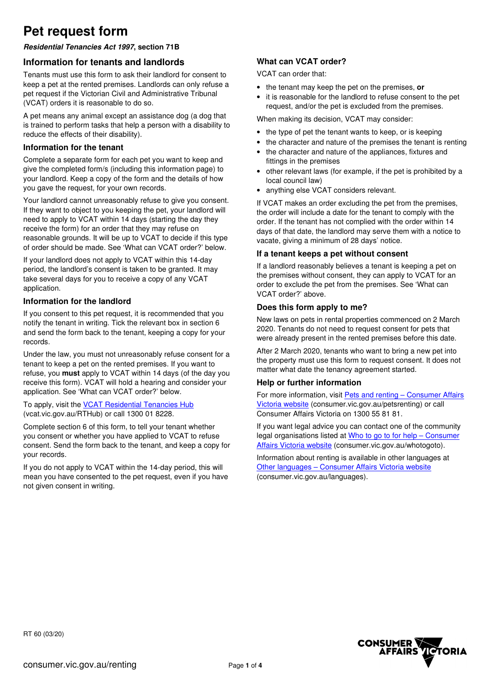# **Pet request form**

## **Residential Tenancies Act 1997, section 71B**

## **Information for tenants and landlords**

Tenants must use this form to ask their landlord for consent to keep a pet at the rented premises. Landlords can only refuse a pet request if the Victorian Civil and Administrative Tribunal (VCAT) orders it is reasonable to do so.

A pet means any animal except an assistance dog (a dog that is trained to perform tasks that help a person with a disability to reduce the effects of their disability).

### **Information for the tenant**

Complete a separate form for each pet you want to keep and give the completed form/s (including this information page) to your landlord. Keep a copy of the form and the details of how you gave the request, for your own records.

Your landlord cannot unreasonably refuse to give you consent. If they want to object to you keeping the pet, your landlord will need to apply to VCAT within 14 days (starting the day they receive the form) for an order that they may refuse on reasonable grounds. It will be up to VCAT to decide if this type of order should be made. See 'What can VCAT order?' below.

If your landlord does not apply to VCAT within this 14-day period, the landlord's consent is taken to be granted. It may take several days for you to receive a copy of any VCAT application.

### **Information for the landlord**

If you consent to this pet request, it is recommended that you notify the tenant in writing. Tick the relevant box in section 6 and send the form back to the tenant, keeping a copy for your records.

Under the law, you must not unreasonably refuse consent for a tenant to keep a pet on the rented premises. If you want to refuse, you **must** apply to VCAT within 14 days (of the day you receive this form). VCAT will hold a hearing and consider your application. See 'What can VCAT order?' below.

To apply, visit the VCAT Residential Tenancies Hub (vcat.vic.gov.au/RTHub) or call 1300 01 8228.

Complete section 6 of this form, to tell your tenant whether you consent or whether you have applied to VCAT to refuse consent. Send the form back to the tenant, and keep a copy for your records.

If you do not apply to VCAT within the 14-day period, this will mean you have consented to the pet request, even if you have not given consent in writing.

# **What can VCAT order?**

VCAT can order that:

- the tenant may keep the pet on the premises, **or**
- it is reasonable for the landlord to refuse consent to the pet request, and/or the pet is excluded from the premises.

When making its decision, VCAT may consider:

- the type of pet the tenant wants to keep, or is keeping
- the character and nature of the premises the tenant is renting
- the character and nature of the appliances, fixtures and fittings in the premises
- other relevant laws (for example, if the pet is prohibited by a local council law)
- anything else VCAT considers relevant.

If VCAT makes an order excluding the pet from the premises, the order will include a date for the tenant to comply with the order. If the tenant has not complied with the order within 14 days of that date, the landlord may serve them with a notice to vacate, giving a minimum of 28 days' notice.

### **If a tenant keeps a pet without consent**

If a landlord reasonably believes a tenant is keeping a pet on the premises without consent, they can apply to VCAT for an order to exclude the pet from the premises. See 'What can VCAT order?' above.

### **Does this form apply to me?**

New laws on pets in rental properties commenced on 2 March 2020. Tenants do not need to request consent for pets that were already present in the rented premises before this date.

After 2 March 2020, tenants who want to bring a new pet into the property must use this form to request consent. It does not matter what date the tenancy agreement started.

### **Help or further information**

For more information, visit Pets and renting – Consumer Affairs Victoria website (consumer.vic.gov.au/petsrenting) or call Consumer Affairs Victoria on 1300 55 81 81.

If you want legal advice you can contact one of the community legal organisations listed at Who to go to for help – Consumer Affairs Victoria website (consumer.vic.gov.au/whotogoto).

Information about renting is available in other languages at Other languages – Consumer Affairs Victoria website (consumer.vic.gov.au/languages).

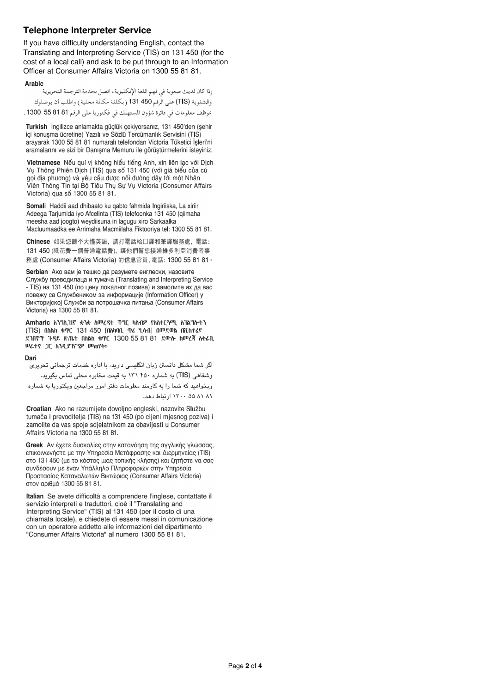# **Telephone Interpreter Service**

If you have difficulty understanding English, contact the Translating and Interpreting Service (TIS) on 131 450 (for the cost of a local call) and ask to be put through to an Information Officer at Consumer Affairs Victoria on 1300 55 81 81.

#### **Arabic**

إذا كان لديك صعوبة في فهم اللغة الإنكليزية، اتصل بخدمة الترجمة التحريرية والشفوية (TIS) على الرقم 450 131 (بكلفة مكالمة محلية) واطلب أن يوصلوك

بموظف معلومات في دائرة شؤون المستهلك في فكتوريا على الرقم 81 81 55 1300 .

Turkish İngilizce anlamakta güclük cekiyorsanız, 131 450'den (sehir ici konusma ücretine) Yazılı ve Sözlü Tercümanlık Servisini (TIS) aravarak 1300 55 81 81 numaralı telefondan Victoria Tüketici İşleri'ni aramalarını ve sizi bir Danışma Memuru ile görüştürmelerini isteyiniz.

Vietnamese Nếu quí vị không hiểu tiếng Anh, xin liên lạc với Dịch Vụ Thông Phiên Dịch (TIS) qua số 131 450 (với giá biểu của cú gọi địa phương) và yêu cầu được nối đường dây tới một Nhân Viên Thông Tin tại Bộ Tiêu Thụ Sự Vụ Victoria (Consumer Affairs Victoria) qua số 1300 55 81 81.

Somali Haddii aad dhibaato ku gabto fahmida Ingiriiska, La xiriir Adeega Tarjumida iyo Afcelinta (TIS) telefoonka 131 450 (qiimaha meesha aad joogto) weydiisuna in lagugu xiro Sarkaalka Macluumaadka ee Arrimaha Macmiilaha Fiktooriya tel: 1300 55 81 81.

Chinese 如果您聽不大懂英語, 請打電話給口譯和筆譯服務處, 電話: 131 450 (祇花費一個普通電話費)、讓他們幫您接通維多利亞消費者事 務處 (Consumer Affairs Victoria) 的信息官員, 雷話: 1300 55 81 81。

Serbian Ако вам је тешко да разумете енглески, назовите Службу преводилаца и тумача (Translating and Interpreting Service - TIS) на 131 450 (по цену локалног позива) и замолите их да вас повежу са Службеником за информације (Information Officer) у Викторијској Служби за потрошачка питања (Consumer Affairs Victoria) на 1300 55 81 81.

Amharic እገግሊዝኛ ቋንቋ ስመረዳት ችግር ካስብዎ የአስተርጓሚ ለገልግሎትን (TIS) በስልክ ቁጥር 131 450 [በሉካባቢ ጥሪ ሂሳብ] በመደወል በቪክቶሪያ ደገበኞች ጉዳይ ጽ/ቤት በስልክ ቁጥር 1300 55 81 81 ደውሎ ከመረጃ አቅራቢ ሠራተኛ ጋር እንዲያገናኘዎ መጠየቅ።

#### Dari

اگر شما مشکل دانستن زبان انگلیسی دارید، با اداره خدمات ترجمانی تحریری وشفاهی (TIS) به شماره ۴۵۰ ۱۳۱ به قیمت مخابره محلی تماس بگیرید.

ویخواهید که شما را به کارمند معلومات دفتر امور مراجعین ویکتوریا به شماره ٨١ ٨١ ٥٥ ١٣٠٠، ارتباط دهد.

Croatian Ako ne razumijete dovoljno engleski, nazovite Službu tumača i prevoditelja (TIS) na 131 450 (po cijeni mjesnog poziva) i zamolite da vas spoje sdjelatnikom za obavijesti u Consumer Affairs Victoria na 1300 55 81 81.

Greek Αν έχετε δυσκολίες στην κατανόηση της αγγλικής γλώσσας, επικοινωνήστε με την Υπηρεσία Μετάφρασης και Διερμηνείας (TIS) στο 131 450 (με το κόστος μιας τοπικής κλήσης) και ζητήστε να σας συνδέσουν με έναν Υπάλληλο Πληροφοριών στην Υπηρεσία Προστασίας Καταναλωτών Βικτώριας (Consumer Affairs Victoria) στον αριθμό 1300 55 81 81.

Italian Se avete difficoltà a comprendere l'inglese, contattate il servizio interpreti e traduttori, cioè il "Translating and Interpreting Service" (TIS) al 131 450 (per il costo di una chiamata locale), e chiedete di essere messi in comunicazione con un operatore addetto alle informazioni del dipartimento "Consumer Affairs Victoria" al numero 1300 55 81 81.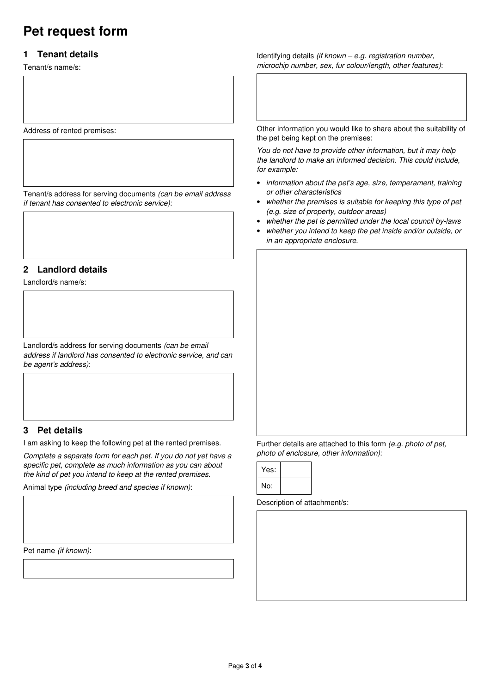# **Pet request form**

# **1 Tenant details**

Tenant/s name/s:

Address of rented premises:

Tenant/s address for serving documents (can be email address if tenant has consented to electronic service):

# **2 Landlord details**

Landlord/s name/s:

Landlord/s address for serving documents (can be email address if landlord has consented to electronic service, and can be agent's address):

# **3 Pet details**

I am asking to keep the following pet at the rented premises.

Complete a separate form for each pet. If you do not yet have a specific pet, complete as much information as you can about the kind of pet you intend to keep at the rented premises.

Animal type (including breed and species if known):

Pet name (if known):

Identifying details (if known – e.g. registration number, microchip number, sex, fur colour/length, other features):

Other information you would like to share about the suitability of the pet being kept on the premises:

You do not have to provide other information, but it may help the landlord to make an informed decision. This could include, for example:

- information about the pet's age, size, temperament, training or other characteristics
- whether the premises is suitable for keeping this type of pet (e.g. size of property, outdoor areas)
- whether the pet is permitted under the local council by-laws
- whether you intend to keep the pet inside and/or outside, or in an appropriate enclosure.

Further details are attached to this form (e.g. photo of pet, photo of enclosure, other information):

| Yes: |  |
|------|--|
| No:  |  |

Description of attachment/s: